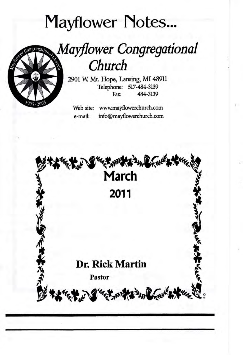# **Mayflower Notes...**

Church



2901 W. Mt. Hope, Lansing, MI 48911 Telephone: 517-484-3139 484-3139 Fax:

Web site: www.mayflowerchurch.com info@mayflowerchurch.com e-mail:

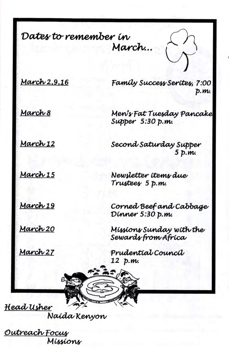Dates to remember in March...

March 2,9,16

March 8

Family Success Serites, 7:00  $p.m.$ 

Men's Fat Tuesday Pancake Supper 5:30 p.m.

5 p.m.

Second Saturday Supper

March 12

March 15

Newsletter items due Trustees 5 p.m.

March 19

March 20

Dinner 5:30 p.m. Missions Sunday with the

Corned Beef and Cabbage

March 27

Prudential Council 12 p.m.

Sewards from Africa



Naída Kenyon

Outreach Focus Míssions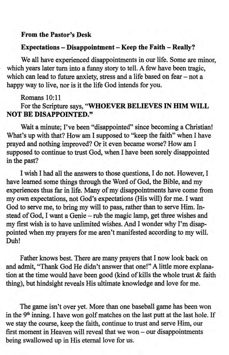### From the Pastor's Desk

#### Expectations - Disappointment - Keep the Faith - Really?

We all have experienced disappointments in our life. Some are minor, which years later tum into a funny story to tell. A few have been tagic, which can lead to future anxiety, stress and a life based on fear  $-$  not a happy way to live, nor is it the life God intends for you.

Romans 10:11

For the Scripture says, "WHOEVER BELIEVES IN HIM WILL NOT BE DISAPPOINTED."

Wait a minute; I've been "disappointed" since becoming a Christian! What's up with that? How am I supposed to "keep the faith" when I have prayed and nothing improved? Or it even became worse? How am I supposed to continue to trust God, when I have been sorely disappointed in the past?

I wish I had all the answers to those questions, I do not. However, I have leamed some things through the Word of God, the Bible, and my experiences thus far in life. Many of my disappointments have come from my own expectations, not God's expectations (His will) for me. I want God to serye me, to bring my will to pass, rather than to serve Him. Instead of God, I want a Genie - rub the magic lamp, get three wishes and my first wish is to have unlimited wishes. And I wonder why I'm disappointed when my prayers for me aren't manifested according to my will. Duh!

Father knows best. There are many prayers that I now look back on and admit, "Thank God He didn't answer that one!" A little more explanation at the time would have been good (kind of kills the whole trust & faith thing), but hindsight reveals His ultimate knowledge and love for me.

The game isn't over yet. More than one baseball game has been won in the  $9<sup>th</sup>$  inning. I have won golf matches on the last putt at the last hole. If we stay the course, keep the faith, continue to trust and serve Him, our first moment in Heaven will reveal that we won – our disappointments being swallowed up in His eternal love for us.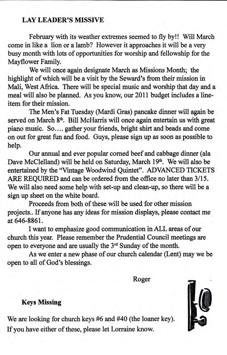# LAY LEADER'S MISSIVE

February with its weather extremes seemed to fly by!! Will March come in like a lion or a lamb? However it approaches it will be a very busy month with lots of opportunities for worship and fellowship for the Mayflower Family.

We will once again designate March as Missions Month; the highlight of which will be a visit by the Seward's from their mission in Mali, West Africa. There will be special music and worship that day and a meal will also be planned. As you know, our 2011 budget includes a lineitem for their mission.

The Men's Fat Tuesday (Mardi Gras) pancake dinner will again be served on March 8<sup>th</sup>. Bill McHarris will once again entertain us with great piano music. So..., gather your friends, bright shirt and beads and come on out for great fun and food. Guys, please sign up as soon as possible to help.

Our annual and ever popular corned beefand cabbage dinner (ala Dave McClelland) will be held on Saturday, March 19<sup>th</sup>. We will also be entertained by the "Vintage Woodwind Quintet". ADVANCED TICKETS ARE REQUIRED and can be ordered from the office no later than  $3/15$ . We will also need some help with set-up and clean-up, so there will be a sign up sheet on the white board.

Proceeds from both of these will be used for other mission projects.. If anyone has any ideas for mission displays, please contact me at 646-8861.

I want to emphasize good communication inALL areas of our church this year. Please remember the Prudential Council meetings are open to everyone and are usually the 3'd Sunday of the month.

As we enter a new phase of our church calendar (Lent) maywe be open to all of God's blessings.

Roger

#### Keys Missing

We are looking for church keys #6 and #40 (the loaner key). If you have either of these, please let Lorraine know.

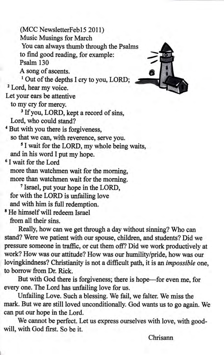(MCC NewsletterFeb15 2011) Music Musings for March You can always thumb through the Psalmsto find good reading, for example: Psalm 130 A song of ascents. <sup>1</sup> Out of the depths I cry to you, LORD; <sup>2</sup> Lord, hear my voice. Let your ears be affentive to my cry for mercy. <sup>3</sup> If you, LORD, kept a record of sins, Lord, who could stand? <sup>4</sup> But with you there is forgiveness, so that we can, with reverence, serve you. <sup>5</sup> I wait for the LORD, my whole being waits, and in his word I put my hope. <sup>6</sup>I wait for the Lord more than watchmen wait for the morning, more than watchmen wait for the morning. <sup>7</sup>Israel, put your hope in the LORD, for with the LORD is unfailing love and with him is full redemption. <sup>8</sup> He himself will redeem Israel from all their sins.

Really, how can we get through a day without sinning? Who can stand? Were we patient with our spouse, children, and students? Did we pressure someone in traffic, or cut them off? Did we work productively at work? How was our attitude? How was our humility/pride, how was our lovingkindness? Christianity is not a difficult path, it is an *impossible* one, to borrow from Dr. Rick.

But with God there is forgiveness; there is hope-for even me, for every one. The Lord has unfailing love for us.

Unfailing Love. Such a blessing. We fail, we falter. We miss the mark. But we are still loved unconditionally. God wants us to go again. We can put our hope in the Lord.

We cannot be perfect. Let us express ourselves with love, with goodwill, with God first. So be it.



Chrisann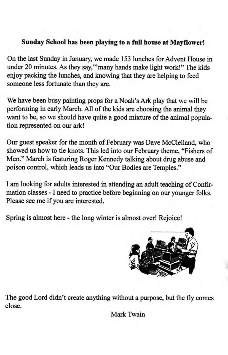# Sunday School has been playing to a full house at Mayflower!

On the last Sunday in January, we made 153 lunches for Advent House in under 20 minutes. As they say,""many hands make light work!" The kids enjoy packing the lunches, and knowing that they are helping to feed someone less fortunate than they are.

We have been busy painting props for a Noah's Ark play that we will be performing in early March. All of the kids are choosing the animal they want to be, so we should have quite a good mixture of the animal population represented on our ark!

Our guest speaker for the month of February was Dave McClelland, who showed us how to tie knots. This led into our February theme, "Fishers of Men." March is featuring Roger Kennedy talking about drug abuse and poison control, which leads us into "Our Bodies are Temples."

I am looking for adults interested in attending an adult teaching of Confirmation classes - I need to practice before beginning on our younger folks. Please see me if you are interested.

Spring is almost here - the long winter is almost over! Rejoice!



The good Lord didn't create anything without a purpose, but the fly comes close.

Mark TWain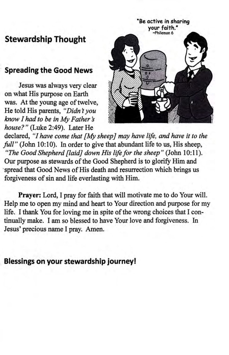# Stewardship Thought

# Spreading the Good News

Jesus was always very clear on what His purpose on Earth was. At the young age of twelve, He told His parents, "Didn't you  $k$ now I had to be in My Father's house?" (Luke 2:49). Later He



declared, "I have come that [My sheep] may have life, and have it to the  $full''$  (John 10:10). In order to give that abundant life to us, His sheep, "The Good Shepherd [laid] down His life for the sheep" (John 10:11). Our purpose as stewards of the Good Shepherd is to glorify Him and 'spread that Good News of His death and resurrection which brings us forgiveness of sin and life everlasting with Him.

Prayer: Lord, I pray for faith that will motivate me to do Your will. Help me to open my mind and heart to Your direction and purpose for my life. I thank You for loving me in spite of the wrong choices that I continually make. I am so blessed to have Your love and forgiveness. In Jesus'precious name I pray. Amen.

Blessings on your stewardship journey!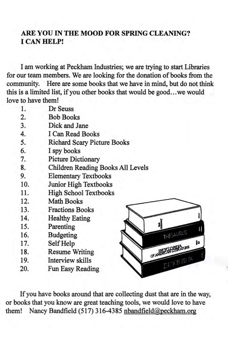# ARE YOU IN THE MOOD FOR SPRING CLEANING? I CAN HELP!

I am working at Peckham Industries; we are trying to start Libraries for our team members. We are looking for the donation of books from the community. Here are some books that we have in mind, but do not think this is a limited list, if you other books that would be good...we would love to have them!

| 1.  | Dr Seuss                             |
|-----|--------------------------------------|
| 2.  | <b>Bob Books</b>                     |
| 3.  | Dick and Jane                        |
| 4.  | I Can Read Books                     |
| 5.  | <b>Richard Scary Picture Books</b>   |
| 6.  | I spy books                          |
| 7.  | <b>Picture Dictionary</b>            |
| 8.  | Children Reading Books All Levels    |
| 9.  | <b>Elementary Textbooks</b>          |
| 10. | Junior High Textbooks                |
| 11. | <b>High School Textbooks</b>         |
| 12. | <b>Math Books</b>                    |
| 13. | <b>Fractions Books</b>               |
| 14. | <b>Healthy Eating</b>                |
| 15. | Parenting                            |
| 16. | <b>Budgeting</b><br>THE <sup>S</sup> |
| 17. | Self Help                            |
| 18. | OF AMERICAN<br><b>Resume Writing</b> |
| 19. | Interview skills                     |
| 20. | Fun Easy Reading                     |

If you have books around that are collecting dust that are in the way, or books that you know are great teaching tools, we would love to have them! Nancy Bandfield (517) 316-4385 nbandfield@peckham.org